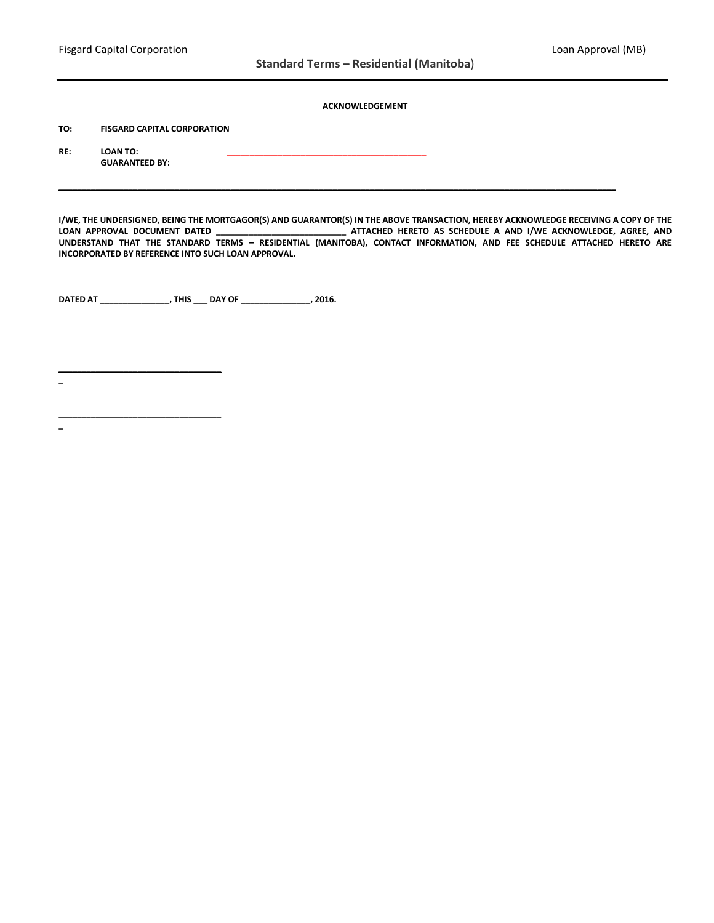## **ACKNOWLEDGEMENT**

**TO: FISGARD CAPITAL CORPORATION**

**RE: LOAN TO: \_\_\_\_\_\_\_\_\_\_\_\_\_\_\_\_\_\_\_\_\_\_\_\_\_\_\_\_\_\_\_\_\_\_\_\_\_\_\_\_\_\_\_ GUARANTEED BY:**

**I/WE, THE UNDERSIGNED, BEING THE MORTGAGOR(S) AND GUARANTOR(S) IN THE ABOVE TRANSACTION, HEREBY ACKNOWLEDGE RECEIVING A COPY OF THE LOAN APPROVAL DOCUMENT DATED \_\_\_\_\_\_\_\_\_\_\_\_\_\_\_\_\_\_\_\_\_\_\_\_\_\_\_\_ ATTACHED HERETO AS SCHEDULE A AND I/WE ACKNOWLEDGE, AGREE, AND UNDERSTAND THAT THE STANDARD TERMS – RESIDENTIAL (MANITOBA), CONTACT INFORMATION, AND FEE SCHEDULE ATTACHED HERETO ARE INCORPORATED BY REFERENCE INTO SUCH LOAN APPROVAL.**

**\_\_\_\_\_\_\_\_\_\_\_\_\_\_\_\_\_\_\_\_\_\_\_\_\_\_\_\_\_\_\_\_\_\_\_\_\_\_\_\_\_\_\_\_\_\_\_\_\_\_\_\_\_\_\_\_\_\_\_\_\_\_\_\_\_\_\_\_\_\_\_\_\_\_\_\_\_\_\_\_\_\_\_\_\_\_\_\_\_\_\_\_\_\_\_\_\_\_\_\_\_\_\_\_\_\_\_\_\_\_\_\_\_\_\_\_\_\_\_\_**

**DATED AT \_\_\_\_\_\_\_\_\_\_\_\_\_\_\_, THIS \_\_\_ DAY OF \_\_\_\_\_\_\_\_\_\_\_\_\_\_\_, 2016.**

**\_**

**\_\_\_\_\_\_\_\_\_\_\_\_\_\_\_\_\_\_\_\_\_\_\_\_\_\_\_\_\_\_\_\_\_\_\_**

**\_\_\_\_\_\_\_\_\_\_\_\_\_\_\_\_\_\_\_\_\_\_\_\_\_\_\_\_\_\_\_\_\_\_\_ \_**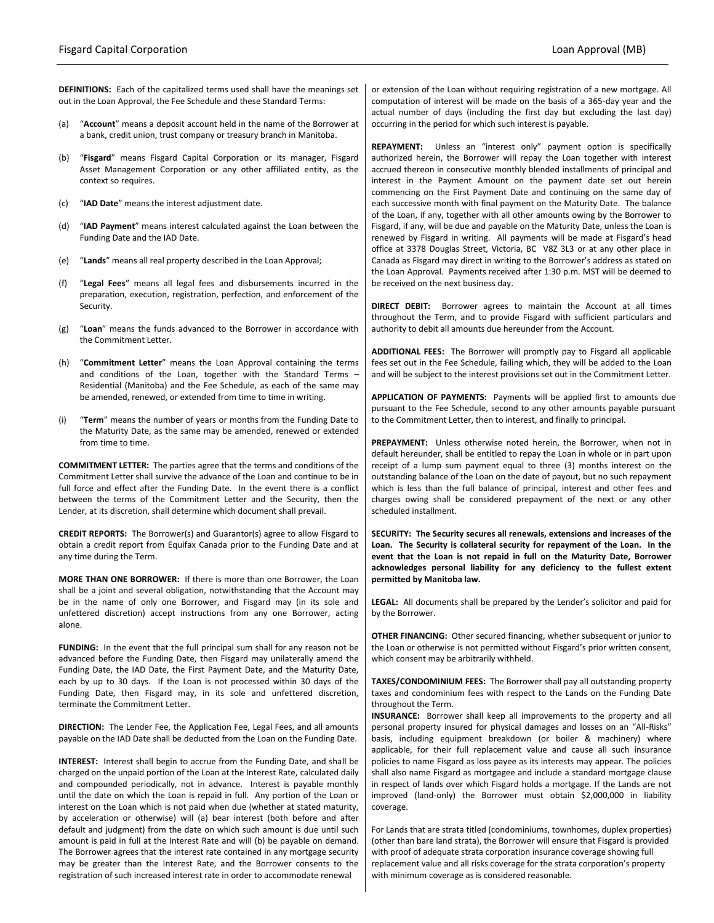**DEFINITIONS:** Each of the capitalized terms used shall have the meanings set out in the Loan Approval, the Fee Schedule and these Standard Terms:

- (a) "**Account**" means a deposit account held in the name of the Borrower at a bank, credit union, trust company or treasury branch in Manitoba.
- (b) "**Fisgard**" means Fisgard Capital Corporation or its manager, Fisgard Asset Management Corporation or any other affiliated entity, as the context so requires.
- (c) "**IAD Date**" means the interest adjustment date.
- (d) "**IAD Payment**" means interest calculated against the Loan between the Funding Date and the IAD Date.
- (e) "**Lands**" means all real property described in the Loan Approval;
- (f) "**Legal Fees**" means all legal fees and disbursements incurred in the preparation, execution, registration, perfection, and enforcement of the Security.
- (g) "**Loan**" means the funds advanced to the Borrower in accordance with the Commitment Letter.
- (h) "**Commitment Letter**" means the Loan Approval containing the terms and conditions of the Loan, together with the Standard Terms – Residential (Manitoba) and the Fee Schedule, as each of the same may be amended, renewed, or extended from time to time in writing.
- (i) "**Term**" means the number of years or months from the Funding Date to the Maturity Date, as the same may be amended, renewed or extended from time to time.

**COMMITMENT LETTER:** The parties agree that the terms and conditions of the Commitment Letter shall survive the advance of the Loan and continue to be in full force and effect after the Funding Date. In the event there is a conflict between the terms of the Commitment Letter and the Security, then the Lender, at its discretion, shall determine which document shall prevail.

**CREDIT REPORTS:** The Borrower(s) and Guarantor(s) agree to allow Fisgard to obtain a credit report from Equifax Canada prior to the Funding Date and at any time during the Term.

**MORE THAN ONE BORROWER:** If there is more than one Borrower, the Loan shall be a joint and several obligation, notwithstanding that the Account may be in the name of only one Borrower, and Fisgard may (in its sole and unfettered discretion) accept instructions from any one Borrower, acting alone.

**FUNDING:** In the event that the full principal sum shall for any reason not be advanced before the Funding Date, then Fisgard may unilaterally amend the Funding Date, the IAD Date, the First Payment Date, and the Maturity Date, each by up to 30 days. If the Loan is not processed within 30 days of the Funding Date, then Fisgard may, in its sole and unfettered discretion, terminate the Commitment Letter.

**DIRECTION:** The Lender Fee, the Application Fee, Legal Fees, and all amounts payable on the IAD Date shall be deducted from the Loan on the Funding Date.

**INTEREST:** Interest shall begin to accrue from the Funding Date, and shall be charged on the unpaid portion of the Loan at the Interest Rate, calculated daily and compounded periodically, not in advance. Interest is payable monthly until the date on which the Loan is repaid in full. Any portion of the Loan or interest on the Loan which is not paid when due (whether at stated maturity, by acceleration or otherwise) will (a) bear interest (both before and after default and judgment) from the date on which such amount is due until such amount is paid in full at the Interest Rate and will (b) be payable on demand. The Borrower agrees that the interest rate contained in any mortgage security may be greater than the Interest Rate, and the Borrower consents to the registration of such increased interest rate in order to accommodate renewal

or extension of the Loan without requiring registration of a new mortgage. All computation of interest will be made on the basis of a 365-day year and the actual number of days (including the first day but excluding the last day) occurring in the period for which such interest is payable.

**REPAYMENT:** Unless an "interest only" payment option is specifically authorized herein, the Borrower will repay the Loan together with interest accrued thereon in consecutive monthly blended installments of principal and interest in the Payment Amount on the payment date set out herein commencing on the First Payment Date and continuing on the same day of each successive month with final payment on the Maturity Date. The balance of the Loan, if any, together with all other amounts owing by the Borrower to Fisgard, if any, will be due and payable on the Maturity Date, unless the Loan is renewed by Fisgard in writing. All payments will be made at Fisgard's head office at 3378 Douglas Street, Victoria, BC V8Z 3L3 or at any other place in Canada as Fisgard may direct in writing to the Borrower's address as stated on the Loan Approval. Payments received after 1:30 p.m. MST will be deemed to be received on the next business day.

**DIRECT DEBIT:** Borrower agrees to maintain the Account at all times throughout the Term, and to provide Fisgard with sufficient particulars and authority to debit all amounts due hereunder from the Account.

**ADDITIONAL FEES:** The Borrower will promptly pay to Fisgard all applicable fees set out in the Fee Schedule, failing which, they will be added to the Loan and will be subject to the interest provisions set out in the Commitment Letter.

**APPLICATION OF PAYMENTS:** Payments will be applied first to amounts due pursuant to the Fee Schedule, second to any other amounts payable pursuant to the Commitment Letter, then to interest, and finally to principal.

**PREPAYMENT:** Unless otherwise noted herein, the Borrower, when not in default hereunder, shall be entitled to repay the Loan in whole or in part upon receipt of a lump sum payment equal to three (3) months interest on the outstanding balance of the Loan on the date of payout, but no such repayment which is less than the full balance of principal, interest and other fees and charges owing shall be considered prepayment of the next or any other scheduled installment.

**SECURITY: The Security secures all renewals, extensions and increases of the Loan. The Security is collateral security for repayment of the Loan. In the event that the Loan is not repaid in full on the Maturity Date, Borrower acknowledges personal liability for any deficiency to the fullest extent permitted by Manitoba law.**

**LEGAL:** All documents shall be prepared by the Lender's solicitor and paid for by the Borrower.

**OTHER FINANCING:** Other secured financing, whether subsequent or junior to the Loan or otherwise is not permitted without Fisgard's prior written consent, which consent may be arbitrarily withheld.

**TAXES/CONDOMINIUM FEES:** The Borrower shall pay all outstanding property taxes and condominium fees with respect to the Lands on the Funding Date throughout the Term.

**INSURANCE:** Borrower shall keep all improvements to the property and all personal property insured for physical damages and losses on an "All-Risks" basis, including equipment breakdown (or boiler & machinery) where applicable, for their full replacement value and cause all such insurance policies to name Fisgard as loss payee as its interests may appear. The policies shall also name Fisgard as mortgagee and include a standard mortgage clause in respect of lands over which Fisgard holds a mortgage. If the Lands are not improved (land-only) the Borrower must obtain \$2,000,000 in liability coverage.

For Lands that are strata titled (condominiums, townhomes, duplex properties) (other than bare land strata), the Borrower will ensure that Fisgard is provided with proof of adequate strata corporation insurance coverage showing full replacement value and all risks coverage for the strata corporation's property with minimum coverage as is considered reasonable.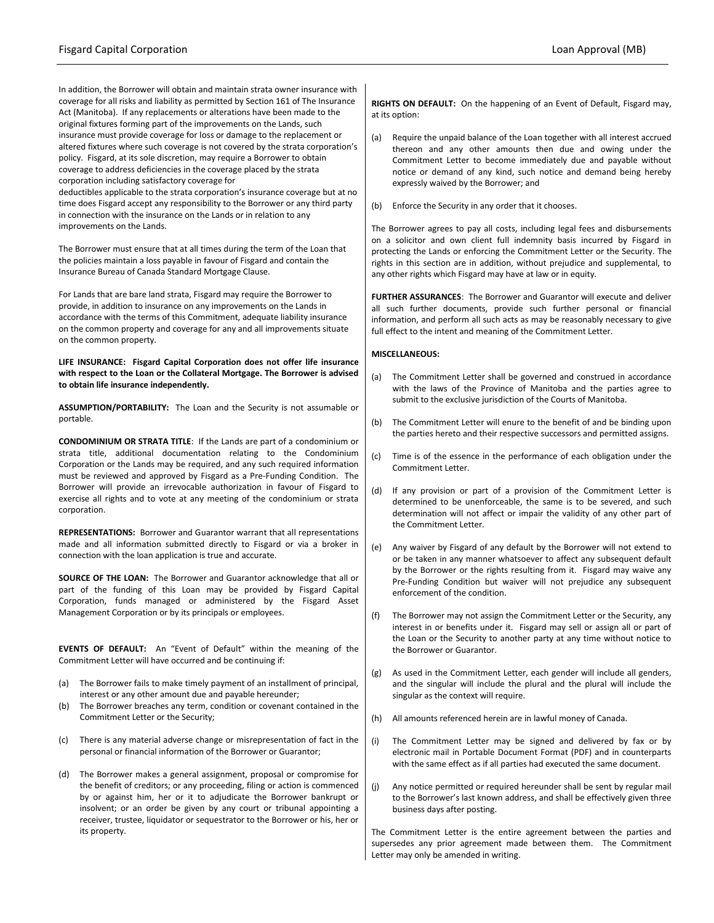In addition, the Borrower will obtain and maintain strata owner insurance with coverage for all risks and liability as permitted by Section 161 of The Insurance Act (Manitoba). If any replacements or alterations have been made to the original fixtures forming part of the improvements on the Lands, such insurance must provide coverage for loss or damage to the replacement or altered fixtures where such coverage is not covered by the strata corporation's policy. Fisgard, at its sole discretion, may require a Borrower to obtain coverage to address deficiencies in the coverage placed by the strata corporation including satisfactory coverage for

deductibles applicable to the strata corporation's insurance coverage but at no time does Fisgard accept any responsibility to the Borrower or any third party in connection with the insurance on the Lands or in relation to any improvements on the Lands.

The Borrower must ensure that at all times during the term of the Loan that the policies maintain a loss payable in favour of Fisgard and contain the Insurance Bureau of Canada Standard Mortgage Clause.

For Lands that are bare land strata, Fisgard may require the Borrower to provide, in addition to insurance on any improvements on the Lands in accordance with the terms of this Commitment, adequate liability insurance on the common property and coverage for any and all improvements situate on the common property.

**LIFE INSURANCE: Fisgard Capital Corporation does not offer life insurance with respect to the Loan or the Collateral Mortgage. The Borrower is advised to obtain life insurance independently.**

**ASSUMPTION/PORTABILITY:** The Loan and the Security is not assumable or portable.

**CONDOMINIUM OR STRATA TITLE**: If the Lands are part of a condominium or strata title, additional documentation relating to the Condominium Corporation or the Lands may be required, and any such required information must be reviewed and approved by Fisgard as a Pre-Funding Condition. The Borrower will provide an irrevocable authorization in favour of Fisgard to exercise all rights and to vote at any meeting of the condominium or strata corporation.

**REPRESENTATIONS:** Borrower and Guarantor warrant that all representations made and all information submitted directly to Fisgard or via a broker in connection with the loan application is true and accurate.

**SOURCE OF THE LOAN:** The Borrower and Guarantor acknowledge that all or part of the funding of this Loan may be provided by Fisgard Capital Corporation, funds managed or administered by the Fisgard Asset Management Corporation or by its principals or employees.

**EVENTS OF DEFAULT:** An "Event of Default" within the meaning of the Commitment Letter will have occurred and be continuing if:

- (a) The Borrower fails to make timely payment of an installment of principal, interest or any other amount due and payable hereunder;
- (b) The Borrower breaches any term, condition or covenant contained in the Commitment Letter or the Security;
- (c) There is any material adverse change or misrepresentation of fact in the personal or financial information of the Borrower or Guarantor;
- (d) The Borrower makes a general assignment, proposal or compromise for the benefit of creditors; or any proceeding, filing or action is commenced by or against him, her or it to adjudicate the Borrower bankrupt or insolvent; or an order be given by any court or tribunal appointing a receiver, trustee, liquidator or sequestrator to the Borrower or his, her or its property.

**RIGHTS ON DEFAULT:** On the happening of an Event of Default, Fisgard may, at its option:

- (a) Require the unpaid balance of the Loan together with all interest accrued thereon and any other amounts then due and owing under the Commitment Letter to become immediately due and payable without notice or demand of any kind, such notice and demand being hereby expressly waived by the Borrower; and
- (b) Enforce the Security in any order that it chooses.

The Borrower agrees to pay all costs, including legal fees and disbursements on a solicitor and own client full indemnity basis incurred by Fisgard in protecting the Lands or enforcing the Commitment Letter or the Security. The rights in this section are in addition, without prejudice and supplemental, to any other rights which Fisgard may have at law or in equity.

**FURTHER ASSURANCES**: The Borrower and Guarantor will execute and deliver all such further documents, provide such further personal or financial information, and perform all such acts as may be reasonably necessary to give full effect to the intent and meaning of the Commitment Letter.

### **MISCELLANEOUS:**

- (a) The Commitment Letter shall be governed and construed in accordance with the laws of the Province of Manitoba and the parties agree to submit to the exclusive jurisdiction of the Courts of Manitoba.
- (b) The Commitment Letter will enure to the benefit of and be binding upon the parties hereto and their respective successors and permitted assigns.
- (c) Time is of the essence in the performance of each obligation under the Commitment Letter.
- (d) If any provision or part of a provision of the Commitment Letter is determined to be unenforceable, the same is to be severed, and such determination will not affect or impair the validity of any other part of the Commitment Letter.
- (e) Any waiver by Fisgard of any default by the Borrower will not extend to or be taken in any manner whatsoever to affect any subsequent default by the Borrower or the rights resulting from it. Fisgard may waive any Pre-Funding Condition but waiver will not prejudice any subsequent enforcement of the condition.
- (f) The Borrower may not assign the Commitment Letter or the Security, any interest in or benefits under it. Fisgard may sell or assign all or part of the Loan or the Security to another party at any time without notice to the Borrower or Guarantor.
- (g) As used in the Commitment Letter, each gender will include all genders, and the singular will include the plural and the plural will include the singular as the context will require.
- (h) All amounts referenced herein are in lawful money of Canada.
- (i) The Commitment Letter may be signed and delivered by fax or by electronic mail in Portable Document Format (PDF) and in counterparts with the same effect as if all parties had executed the same document.
- (j) Any notice permitted or required hereunder shall be sent by regular mail to the Borrower's last known address, and shall be effectively given three business days after posting.

The Commitment Letter is the entire agreement between the parties and supersedes any prior agreement made between them. The Commitment Letter may only be amended in writing.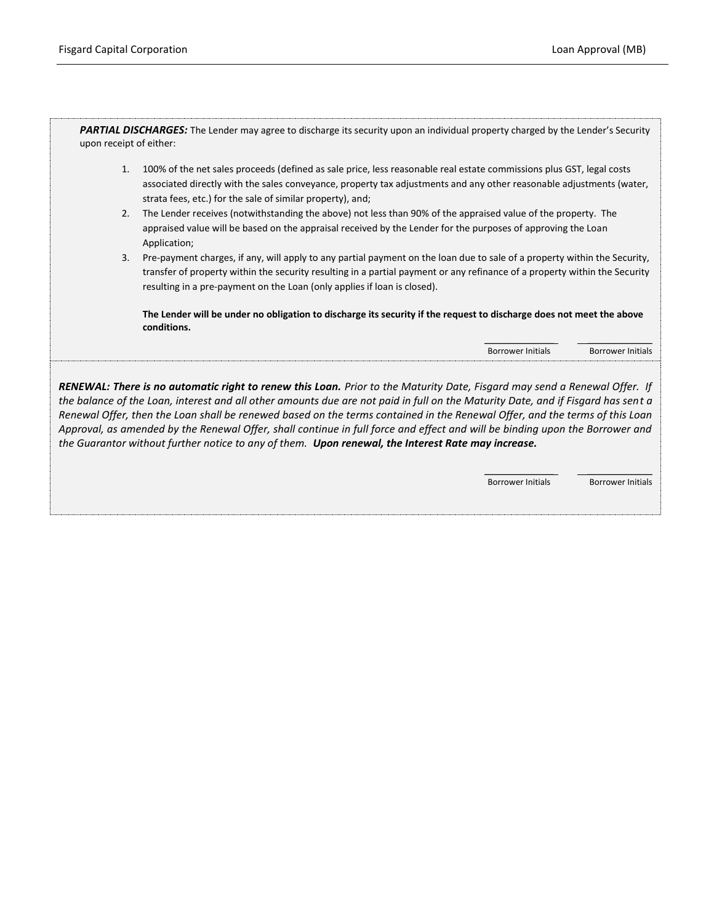PARTIAL DISCHARGES: The Lender may agree to discharge its security upon an individual property charged by the Lender's Security upon receipt of either:

- 1. 100% of the net sales proceeds (defined as sale price, less reasonable real estate commissions plus GST, legal costs associated directly with the sales conveyance, property tax adjustments and any other reasonable adjustments (water, strata fees, etc.) for the sale of similar property), and;
- 2. The Lender receives (notwithstanding the above) not less than 90% of the appraised value of the property. The appraised value will be based on the appraisal received by the Lender for the purposes of approving the Loan Application;
- 3. Pre-payment charges, if any, will apply to any partial payment on the loan due to sale of a property within the Security, transfer of property within the security resulting in a partial payment or any refinance of a property within the Security resulting in a pre-payment on the Loan (only applies if loan is closed).

**The Lender will be under no obligation to discharge its security if the request to discharge does not meet the above conditions.**

> \_\_\_\_\_\_\_\_\_\_\_\_\_\_\_ \_\_\_\_\_\_\_\_\_\_\_\_\_\_ Borrower Initials Borrower Initials

*RENEWAL: There is no automatic right to renew this Loan. Prior to the Maturity Date, Fisgard may send a Renewal Offer. If the balance of the Loan, interest and all other amounts due are not paid in full on the Maturity Date, and if Fisgard has sent a Renewal Offer, then the Loan shall be renewed based on the terms contained in the Renewal Offer, and the terms of this Loan Approval, as amended by the Renewal Offer, shall continue in full force and effect and will be binding upon the Borrower and the Guarantor without further notice to any of them. Upon renewal, the Interest Rate may increase.*

> \_\_\_\_\_\_\_\_\_\_\_\_\_\_\_ \_\_\_\_\_\_\_\_\_\_\_\_\_\_ Borrower Initials Borrower Initials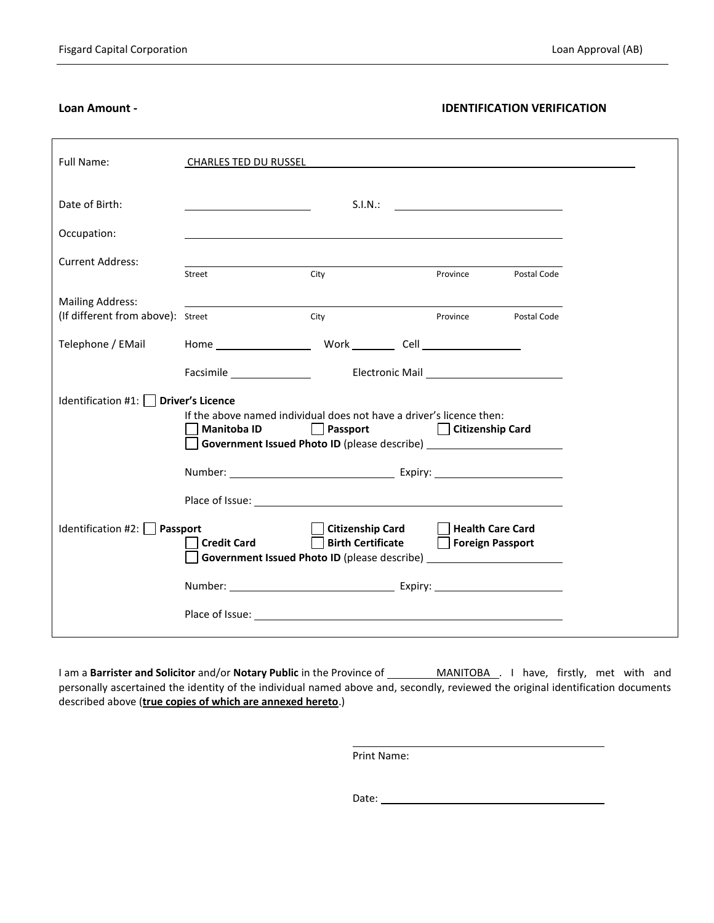# **Loan Amount - IDENTIFICATION VERIFICATION**

| Full Name:                                                   | <b>CHARLES TED DU RUSSEL</b>                                                                                                                                                                                                                                                                                                                                                                                           | <u> 1989 - John Stein, Amerikaansk politiker (* 1989)</u>                                                                                                                                                                      |                  |             |  |
|--------------------------------------------------------------|------------------------------------------------------------------------------------------------------------------------------------------------------------------------------------------------------------------------------------------------------------------------------------------------------------------------------------------------------------------------------------------------------------------------|--------------------------------------------------------------------------------------------------------------------------------------------------------------------------------------------------------------------------------|------------------|-------------|--|
| Date of Birth:                                               |                                                                                                                                                                                                                                                                                                                                                                                                                        |                                                                                                                                                                                                                                |                  |             |  |
| Occupation:                                                  |                                                                                                                                                                                                                                                                                                                                                                                                                        |                                                                                                                                                                                                                                |                  |             |  |
| <b>Current Address:</b>                                      |                                                                                                                                                                                                                                                                                                                                                                                                                        |                                                                                                                                                                                                                                |                  |             |  |
|                                                              | Street                                                                                                                                                                                                                                                                                                                                                                                                                 | City                                                                                                                                                                                                                           | Province         | Postal Code |  |
| <b>Mailing Address:</b><br>(If different from above): Street |                                                                                                                                                                                                                                                                                                                                                                                                                        | City                                                                                                                                                                                                                           | Province         | Postal Code |  |
| Telephone / EMail                                            |                                                                                                                                                                                                                                                                                                                                                                                                                        | Home Work Cell Cell Contract Cell Contract Cell Contract Cell Contract Cell Contract Cell Contract Cell Contract Cell Contract Cell Contract Cell Contract Cell Contract Cell Contract Cell Contract Cell Contract Cell Contra |                  |             |  |
|                                                              |                                                                                                                                                                                                                                                                                                                                                                                                                        |                                                                                                                                                                                                                                |                  |             |  |
| Identification #1: $\vert$ <b>Driver's Licence</b>           |                                                                                                                                                                                                                                                                                                                                                                                                                        |                                                                                                                                                                                                                                |                  |             |  |
|                                                              | If the above named individual does not have a driver's licence then:<br><b>Example 2 Figure 2 Figure 2 Figure 2 Figure 2 Figure 2 Figure 2 Figure 2 Figure 2 Figure 2 Figure 2 Figure 2 Figure 2 Figure 2 Figure 2 Figure 2 Figure 2 Figure 2 Figure 2 Figure 2 Figure 2 Figure 2 Figure 2 Figure 2 Figu</b><br><b>Manitoba ID</b><br>Government Issued Photo ID (please describe) ___________________________________ |                                                                                                                                                                                                                                |                  |             |  |
|                                                              |                                                                                                                                                                                                                                                                                                                                                                                                                        |                                                                                                                                                                                                                                |                  |             |  |
|                                                              |                                                                                                                                                                                                                                                                                                                                                                                                                        |                                                                                                                                                                                                                                |                  |             |  |
| Identification #2: Passport                                  | <b>Credit Card</b>                                                                                                                                                                                                                                                                                                                                                                                                     | <b>Citizenship Card</b><br>Birth Certificate   Foreign Passport<br>Government Issued Photo ID (please describe) ___________________________________                                                                            | Health Care Card |             |  |
|                                                              |                                                                                                                                                                                                                                                                                                                                                                                                                        |                                                                                                                                                                                                                                |                  |             |  |
|                                                              |                                                                                                                                                                                                                                                                                                                                                                                                                        |                                                                                                                                                                                                                                |                  |             |  |

I am a **Barrister and Solicitor** and/or **Notary Public** in the Province of MANITOBA . I have, firstly, met with and personally ascertained the identity of the individual named above and, secondly, reviewed the original identification documents described above (**true copies of which are annexed hereto**.)

Print Name:

Date: